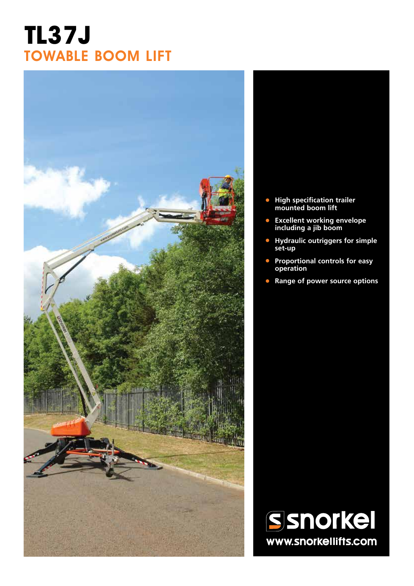## **TL37J** TOWABLE BOOM LIFT



- **• High specification trailer mounted boom lift**
- **• Excellent working envelope including a jib boom**
- **• Hydraulic outriggers for simple set-up**
- **• Proportional controls for easy operation**
- **• Range of power source options**